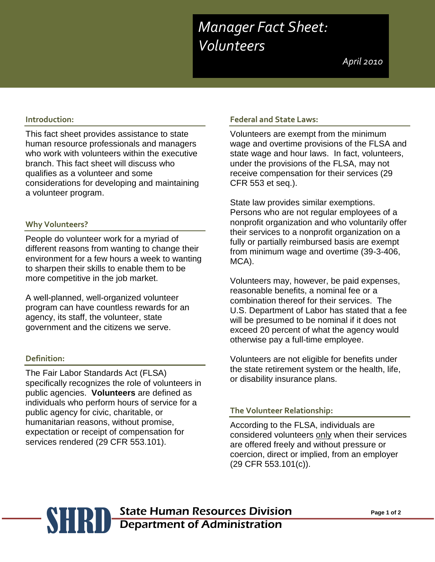# *Manager Fact Sheet: Manager Fact Sheet: Volunteers Volunteers*

*April 2010 April 2010*

# **Introduction:**

This fact sheet provides assistance to state human resource professionals and managers who work with volunteers within the executive branch. This fact sheet will discuss who qualifies as a volunteer and some considerations for developing and maintaining a volunteer program.

## **Why Volunteers?**

People do volunteer work for a myriad of different reasons from wanting to change their environment for a few hours a week to wanting to sharpen their skills to enable them to be more competitive in the job market.

A well-planned, well-organized volunteer program can have countless rewards for an agency, its staff, the volunteer, state government and the citizens we serve.

#### **Definition:**

The Fair Labor Standards Act (FLSA) specifically recognizes the role of volunteers in public agencies. **Volunteers** are defined as individuals who perform hours of service for a public agency for civic, charitable, or humanitarian reasons, without promise, expectation or receipt of compensation for services rendered (29 CFR 553.101).

#### **Federal and State Laws:**

Volunteers are exempt from the minimum wage and overtime provisions of the FLSA and state wage and hour laws. In fact, volunteers, under the provisions of the FLSA, may not receive compensation for their services (29 CFR 553 et seq.).

State law provides similar exemptions. Persons who are not regular employees of a nonprofit organization and who voluntarily offer their services to a nonprofit organization on a fully or partially reimbursed basis are exempt from minimum wage and overtime (39-3-406, MCA).

Volunteers may, however, be paid expenses, reasonable benefits, a nominal fee or a combination thereof for their services. The U.S. Department of Labor has stated that a fee will be presumed to be nominal if it does not exceed 20 percent of what the agency would otherwise pay a full-time employee.

Volunteers are not eligible for benefits under the state retirement system or the health, life, or disability insurance plans.

### **The Volunteer Relationship:**

According to the FLSA, individuals are considered volunteers only when their services are offered freely and without pressure or coercion, direct or implied, from an employer (29 CFR 553.101(c)).

# **Page 1 of 2** State Human Resources Division Page 1 of 2<br> **Page 1 of 2** Department of Administration Department of Administration